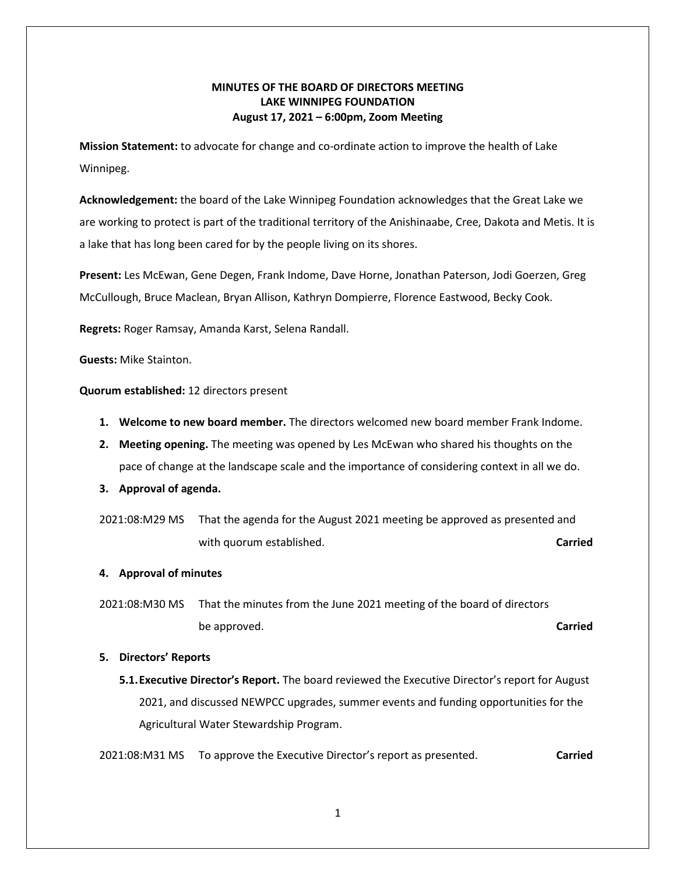# **MINUTES OF THE BOARD OF DIRECTORS MEETING LAKE WINNIPEG FOUNDATION August 17, 2021 – 6:00pm, Zoom Meeting**

**Mission Statement:** to advocate for change and co-ordinate action to improve the health of Lake Winnipeg.

**Acknowledgement:** the board of the Lake Winnipeg Foundation acknowledges that the Great Lake we are working to protect is part of the traditional territory of the Anishinaabe, Cree, Dakota and Metis. It is a lake that has long been cared for by the people living on its shores.

**Present:** Les McEwan, Gene Degen, Frank Indome, Dave Horne, Jonathan Paterson, Jodi Goerzen, Greg McCullough, Bruce Maclean, Bryan Allison, Kathryn Dompierre, Florence Eastwood, Becky Cook.

**Regrets:** Roger Ramsay, Amanda Karst, Selena Randall.

**Guests:** Mike Stainton.

**Quorum established:** 12 directors present

- **1. Welcome to new board member.** The directors welcomed new board member Frank Indome.
- **2. Meeting opening.** The meeting was opened by Les McEwan who shared his thoughts on the pace of change at the landscape scale and the importance of considering context in all we do.
- **3. Approval of agenda.**
- 2021:08:M29 MS That the agenda for the August 2021 meeting be approved as presented and with quorum established. **Carried Carried Carried**
- **4. Approval of minutes**
- 2021:08:M30 MS That the minutes from the June 2021 meeting of the board of directors be approved. **Carried**

#### **5. Directors' Reports**

**5.1.Executive Director's Report.** The board reviewed the Executive Director's report for August 2021, and discussed NEWPCC upgrades, summer events and funding opportunities for the Agricultural Water Stewardship Program.

2021:08:M31 MS To approve the Executive Director's report as presented. **Carried**